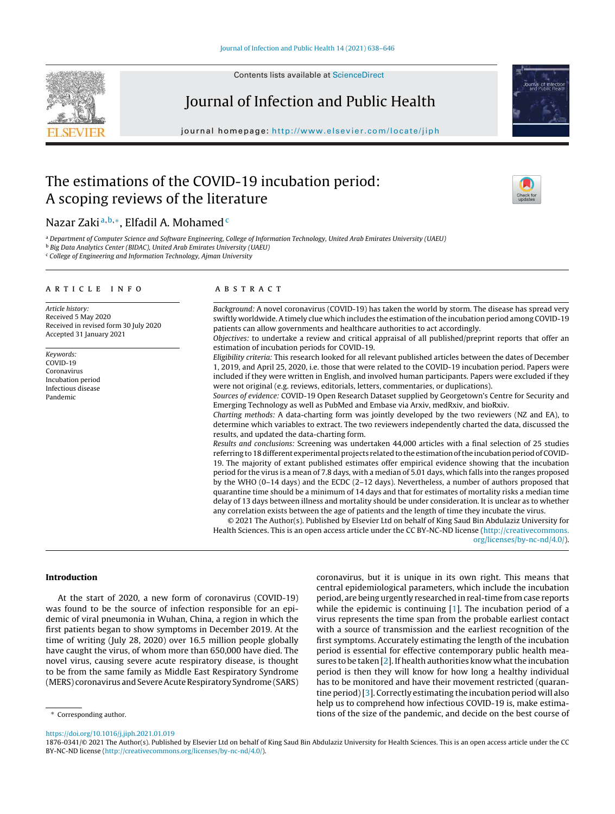

Contents lists available at [ScienceDirect](http://www.sciencedirect.com/science/journal/aip/18760341)

# Journal of Infection and Public Health

journal homepage: <http://www.elsevier.com/locate/jiph>

# The estimations of the COVID-19 incubation period: A scoping reviews of the literature



## Nazar Zaki a, b,\*, Elfadil A. Mohamed<sup>c</sup>

a Department of Computer Science and Software Engineering, College of Information Technology, United Arab Emirates University (UAEU) <sup>b</sup> *Big Data Analytics Center (BIDAC), United Arab Emirates University (UAEU)*

<sup>c</sup> *College of Engineering and Information Technology, Ajman University*

#### a r t i c l e i n f o

*Article history:* Received 5 May 2020 Received in revised form 30 July 2020 Accepted 31 January 2021

*Keywords:*  $COVID-19$ Coronavirus Incubation period Infectious disease Pandemic

#### A B S T R A C T

*Background:* A novel coronavirus (COVID-19) has taken the world by storm. The disease has spread very swiftly worldwide. A timely clue which includes the estimation ofthe incubation period among COVID-19 patients can allow governments and healthcare authorities to act accordingly.

*Objectives:* to undertake a review and critical appraisal of all published/preprint reports that offer an estimation of incubation periods for COVID-19.

*Eligibility criteria:* This research looked for all relevant published articles between the dates of December 1, 2019, and April 25, 2020, i.e. those that were related to the COVID-19 incubation period. Papers were included if they were written in English, and involved human participants. Papers were excluded if they were not original (e.g. reviews, editorials, letters, commentaries, or duplications).

*Sources of evidence:* COVID-19 Open Research Dataset supplied by Georgetown's Centre for Security and Emerging Technology as well as PubMed and Embase via Arxiv, medRxiv, and bioRxiv.

*Charting methods:* A data-charting form was jointly developed by the two reviewers (NZ and EA), to determine which variables to extract. The two reviewers independently charted the data, discussed the results, and updated the data-charting form.

*Results and conclusions:* Screening was undertaken 44,000 articles with a final selection of 25 studies referring to 18 different experimental projects related to the estimation of the incubation period of COVID-19. The majority of extant published estimates offer empirical evidence showing that the incubation period for the virus is a mean of 7.8 days, with a median of 5.01 days, which falls into the ranges proposed by the WHO (0–14 days) and the ECDC (2–12 days). Nevertheless, a number of authors proposed that quarantine time should be a minimum of 14 days and that for estimates of mortality risks a median time delay of 13 days between illness and mortality should be under consideration. It is unclear as to whether any correlation exists between the age of patients and the length of time they incubate the virus.

© 2021 The Author(s). Published by Elsevier Ltd on behalf of King Saud Bin Abdulaziz University for Health Sciences. This is an open access article under the CC BY-NC-ND license ([http://creativecommons.](http://creativecommons.org/licenses/by-nc-nd/4.0/) [org/licenses/by-nc-nd/4.0/\)](http://creativecommons.org/licenses/by-nc-nd/4.0/).

#### Introduction

At the start of 2020, a new form of coronavirus (COVID-19) was found to be the source of infection responsible for an epidemic of viral pneumonia in Wuhan, China, a region in which the first patients began to show symptoms in December 2019. At the time of writing (July 28, 2020) over 16.5 million people globally have caught the virus, of whom more than 650,000 have died. The novel virus, causing severe acute respiratory disease, is thought to be from the same family as Middle East Respiratory Syndrome (MERS) coronavirus and Severe Acute Respiratory Syndrome (SARS)

coronavirus, but it is unique in its own right. This means that central epidemiological parameters, which include the incubation period, are being urgently researched in real-time from case reports while the epidemic is continuing [[1\].](#page-8-0) The incubation period of a virus represents the time span from the probable earliest contact with a source of transmission and the earliest recognition of the first symptoms. Accurately estimating the length of the incubation period is essential for effective contemporary public health measures to be taken  $[2]$ . If health authorities know what the incubation period is then they will know for how long a healthy individual has to be monitored and have their movement restricted (quarantine period)[\[3\].](#page-8-0) Correctly estimating the incubation period will also help us to comprehend how infectious COVID-19 is, make estimations of the size of the pandemic, and decide on the best course of

<sup>∗</sup> Corresponding author.

<https://doi.org/10.1016/j.jiph.2021.01.019>

1876-0341/© 2021 The Author(s). Published by Elsevier Ltd on behalf of King Saud Bin Abdulaziz University for Health Sciences. This is an open access article under the CC BY-NC-ND license [\(http://creativecommons.org/licenses/by-nc-nd/4.0/\)](http://creativecommons.org/licenses/by-nc-nd/4.0/).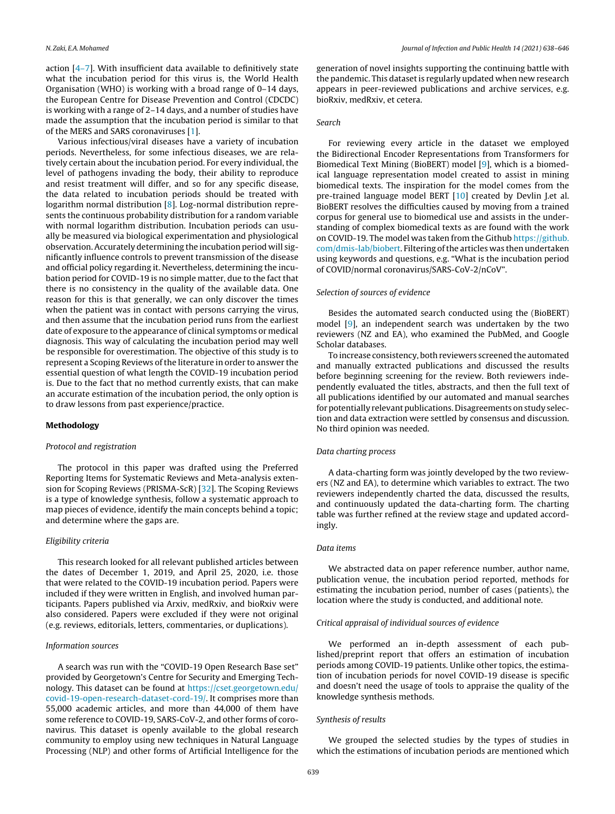action [[4–7\].](#page-8-0) With insufficient data available to definitively state what the incubation period for this virus is, the World Health Organisation (WHO) is working with a broad range of 0–14 days, the European Centre for Disease Prevention and Control (CDCDC) is working with a range of 2–14 days, and a number of studies have made the assumption that the incubation period is similar to that of the MERS and SARS coronaviruses [\[1\].](#page-8-0)

Various infectious/viral diseases have a variety of incubation periods. Nevertheless, for some infectious diseases, we are relatively certain about the incubation period. For every individual, the level of pathogens invading the body, their ability to reproduce and resist treatment will differ, and so for any specific disease, the data related to incubation periods should be treated with logarithm normal distribution [\[8\].](#page-8-0) Log-normal distribution represents the continuous probability distribution for a random variable with normal logarithm distribution. Incubation periods can usually be measured via biological experimentation and physiological observation. Accurately determining the incubation period will significantly influence controls to prevent transmission of the disease and official policy regarding it. Nevertheless, determining the incubation period for COVID-19 is no simple matter, due to the fact that there is no consistency in the quality of the available data. One reason for this is that generally, we can only discover the times when the patient was in contact with persons carrying the virus, and then assume that the incubation period runs from the earliest date of exposure to the appearance of clinical symptoms or medical diagnosis. This way of calculating the incubation period may well be responsible for overestimation. The objective of this study is to represent a Scoping Reviews of the literature in order to answer the essential question of what length the COVID-19 incubation period is. Due to the fact that no method currently exists, that can make an accurate estimation of the incubation period, the only option is to draw lessons from past experience/practice.

#### Methodology

#### *Protocol and registration*

The protocol in this paper was drafted using the Preferred Reporting Items for Systematic Reviews and Meta-analysis extension for Scoping Reviews (PRISMA-ScR) [\[32\].](#page-8-0) The Scoping Reviews is a type of knowledge synthesis, follow a systematic approach to map pieces of evidence, identify the main concepts behind a topic; and determine where the gaps are.

#### *Eligibility criteria*

This research looked for all relevant published articles between the dates of December 1, 2019, and April 25, 2020, i.e. those that were related to the COVID-19 incubation period. Papers were included if they were written in English, and involved human participants. Papers published via Arxiv, medRxiv, and bioRxiv were also considered. Papers were excluded if they were not original (e.g. reviews, editorials, letters, commentaries, or duplications).

#### *Information sources*

A search was run with the "COVID-19 Open Research Base set" provided by Georgetown's Centre for Security and Emerging Technology. This dataset can be found at [https://cset.georgetown.edu/](https://cset.georgetown.edu/covid-19-open-research-dataset-cord-19/) [covid-19-open-research-dataset-cord-19/.](https://cset.georgetown.edu/covid-19-open-research-dataset-cord-19/) It comprises more than 55,000 academic articles, and more than 44,000 of them have some reference to COVID-19, SARS-CoV-2, and other forms of coronavirus. This dataset is openly available to the global research community to employ using new techniques in Natural Language Processing (NLP) and other forms of Artificial Intelligence for the generation of novel insights supporting the continuing battle with the pandemic. This dataset is regularly updated when new research appears in peer-reviewed publications and archive services, e.g. bioRxiv, medRxiv, et cetera.

#### *Search*

For reviewing every article in the dataset we employed the Bidirectional Encoder Representations from Transformers for Biomedical Text Mining (BioBERT) model [\[9\],](#page-8-0) which is a biomedical language representation model created to assist in mining biomedical texts. The inspiration for the model comes from the pre-trained language model BERT [\[10\]](#page-8-0) created by Devlin J.et al. BioBERT resolves the difficulties caused by moving from a trained corpus for general use to biomedical use and assists in the understanding of complex biomedical texts as are found with the work on COVID-19. The model was taken from the Github [https://github.](https://github.com/dmis-lab/biobert) [com/dmis-lab/biobert](https://github.com/dmis-lab/biobert). Filtering ofthe articles was then undertaken using keywords and questions, e.g. "What is the incubation period of COVID/normal coronavirus/SARS-CoV-2/nCoV".

#### *Selection of sources of evidence*

Besides the automated search conducted using the (BioBERT) model [[9\],](#page-8-0) an independent search was undertaken by the two reviewers (NZ and EA), who examined the PubMed, and Google Scholar databases.

To increase consistency, both reviewers screened the automated and manually extracted publications and discussed the results before beginning screening for the review. Both reviewers independently evaluated the titles, abstracts, and then the full text of all publications identified by our automated and manual searches for potentially relevant publications. Disagreements on study selection and data extraction were settled by consensus and discussion. No third opinion was needed.

#### *Data charting process*

A data-charting form was jointly developed by the two reviewers (NZ and EA), to determine which variables to extract. The two reviewers independently charted the data, discussed the results, and continuously updated the data-charting form. The charting table was further refined at the review stage and updated accordingly.

#### *Data items*

We abstracted data on paper reference number, author name, publication venue, the incubation period reported, methods for estimating the incubation period, number of cases (patients), the location where the study is conducted, and additional note.

#### *Critical appraisal of individual sources of evidence*

We performed an in-depth assessment of each published/preprint report that offers an estimation of incubation periods among COVID-19 patients. Unlike other topics, the estimation of incubation periods for novel COVID-19 disease is specific and doesn't need the usage of tools to appraise the quality of the knowledge synthesis methods.

#### *Synthesis of results*

We grouped the selected studies by the types of studies in which the estimations of incubation periods are mentioned which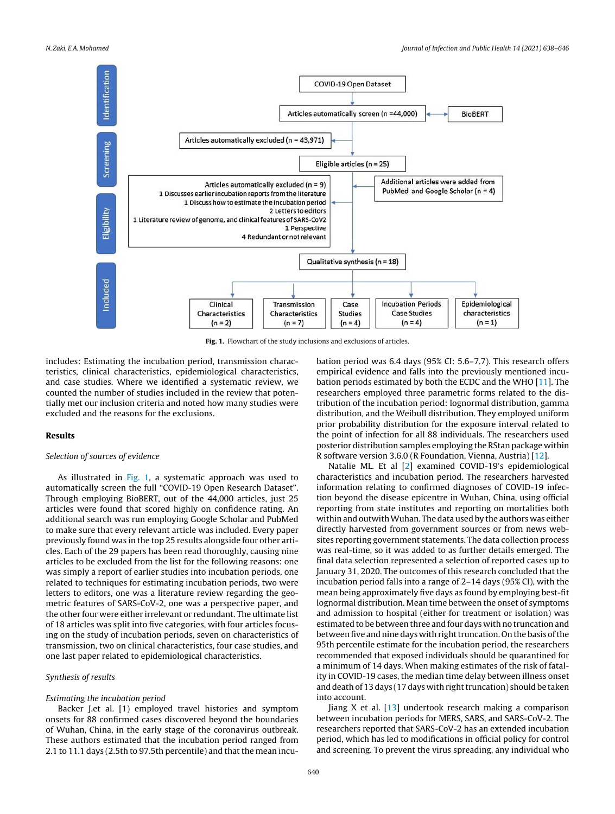

Fig. 1. Flowchart of the study inclusions and exclusions of articles.

includes: Estimating the incubation period, transmission characteristics, clinical characteristics, epidemiological characteristics, and case studies. Where we identified a systematic review, we counted the number of studies included in the review that potentially met our inclusion criteria and noted how many studies were excluded and the reasons for the exclusions.

#### Results

#### *Selection of sources of evidence*

As illustrated in Fig. 1, a systematic approach was used to automatically screen the full "COVID-19 Open Research Dataset". Through employing BioBERT, out of the 44,000 articles, just 25 articles were found that scored highly on confidence rating. An additional search was run employing Google Scholar and PubMed to make sure that every relevant article was included. Every paper previously found was in the top 25 results alongside four other articles. Each of the 29 papers has been read thoroughly, causing nine articles to be excluded from the list for the following reasons: one was simply a report of earlier studies into incubation periods, one related to techniques for estimating incubation periods, two were letters to editors, one was a literature review regarding the geometric features of SARS-CoV-2, one was a perspective paper, and the other four were either irrelevant or redundant. The ultimate list of 18 articles was split into five categories, with four articles focusing on the study of incubation periods, seven on characteristics of transmission, two on clinical characteristics, four case studies, and one last paper related to epidemiological characteristics.

#### *Synthesis of results*

#### *Estimating the incubation period*

Backer J.et al. [1) employed travel histories and symptom onsets for 88 confirmed cases discovered beyond the boundaries of Wuhan, China, in the early stage of the coronavirus outbreak. These authors estimated that the incubation period ranged from 2.1 to 11.1 days (2.5th to 97.5th percentile) and that the mean incubation period was 6.4 days (95% CI: 5.6–7.7). This research offers empirical evidence and falls into the previously mentioned incubation periods estimated by both the ECDC and the WHO [[11\].](#page-8-0) The researchers employed three parametric forms related to the distribution of the incubation period: lognormal distribution, gamma distribution, and the Weibull distribution. They employed uniform prior probability distribution for the exposure interval related to the point of infection for all 88 individuals. The researchers used posterior distribution samples employing the RStan package within R software version 3.6.0 (R Foundation, Vienna, Austria) [[12\].](#page-8-0)

Natalie ML. Et al [[2\]](#page-8-0) examined COVID-19′ s epidemiological characteristics and incubation period. The researchers harvested information relating to confirmed diagnoses of COVID-19 infection beyond the disease epicentre in Wuhan, China, using official reporting from state institutes and reporting on mortalities both within and outwith Wuhan. The data used by the authors was either directly harvested from government sources or from news websites reporting government statements. The data collection process was real-time, so it was added to as further details emerged. The final data selection represented a selection of reported cases up to January 31, 2020. The outcomes of this research concluded that the incubation period falls into a range of 2–14 days (95% CI), with the mean being approximately five days as found by employing best-fit lognormal distribution. Mean time between the onset of symptoms and admission to hospital (either for treatment or isolation) was estimated to be between three and four days with no truncation and between five and nine days with right truncation. On the basis of the 95th percentile estimate for the incubation period, the researchers recommended that exposed individuals should be quarantined for a minimum of 14 days. When making estimates of the risk of fatality in COVID-19 cases, the median time delay between illness onset and death of 13 days (17 days with right truncation) should be taken into account.

Jiang X et al. [[13\]](#page-8-0) undertook research making a comparison between incubation periods for MERS, SARS, and SARS-CoV-2. The researchers reported that SARS-CoV-2 has an extended incubation period, which has led to modifications in official policy for control and screening. To prevent the virus spreading, any individual who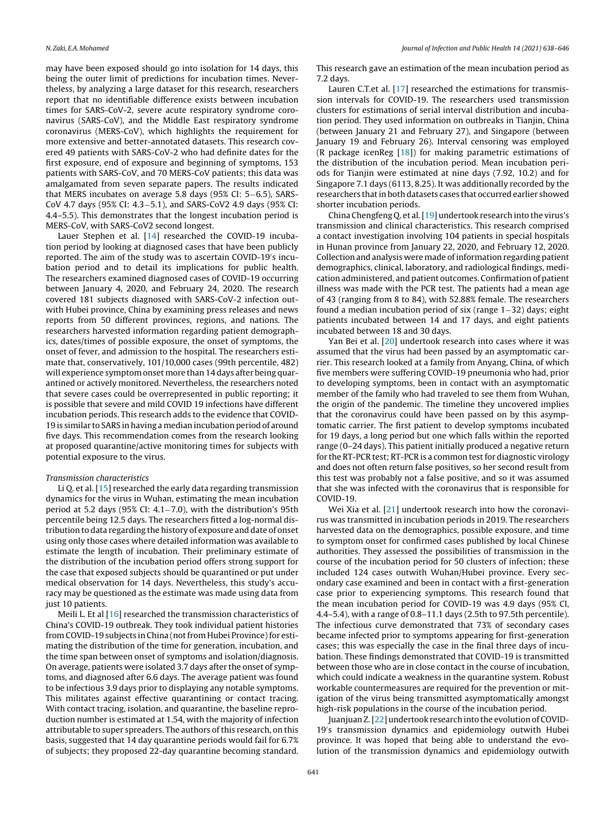may have been exposed should go into isolation for 14 days, this being the outer limit of predictions for incubation times. Nevertheless, by analyzing a large dataset for this research, researchers report that no identifiable difference exists between incubation times for SARS-CoV-2, severe acute respiratory syndrome coronavirus (SARS-CoV), and the Middle East respiratory syndrome coronavirus (MERS-CoV), which highlights the requirement for more extensive and better-annotated datasets. This research covered 49 patients with SARS-CoV-2 who had definite dates for the first exposure, end of exposure and beginning of symptoms, 153 patients with SARS-CoV, and 70 MERS-CoV patients; this data was amalgamated from seven separate papers. The results indicated that MERS incubates on average 5.8 days (95% CI: 5−6.5), SARS-CoV 4.7 days (95% CI: 4.3−5.1), and SARS-CoV2 4.9 days (95% CI: 4.4–5.5). This demonstrates that the longest incubation period is MERS-CoV, with SARS-CoV2 second longest.

Lauer Stephen et al. [[14\]](#page-8-0) researched the COVID-19 incubation period by looking at diagnosed cases that have been publicly reported. The aim of the study was to ascertain COVID-19′ s incubation period and to detail its implications for public health. The researchers examined diagnosed cases of COVID-19 occurring between January 4, 2020, and February 24, 2020. The research covered 181 subjects diagnosed with SARS-CoV-2 infection outwith Hubei province, China by examining press releases and news reports from 50 different provinces, regions, and nations. The researchers harvested information regarding patient demographics, dates/times of possible exposure, the onset of symptoms, the onset of fever, and admission to the hospital. The researchers estimate that, conservatively, 101/10,000 cases (99th percentile, 482) will experience symptom onset more than 14 days after being quarantined or actively monitored. Nevertheless, the researchers noted that severe cases could be overrepresented in public reporting; it is possible that severe and mild COVID 19 infections have different incubation periods. This research adds to the evidence that COVID-19 is similar to SARS in having a median incubation period of around five days. This recommendation comes from the research looking at proposed quarantine/active monitoring times for subjects with potential exposure to the virus.

#### *Transmission characteristics*

Li Q. et al. [[15\]](#page-8-0) researched the early data regarding transmission dynamics for the virus in Wuhan, estimating the mean incubation period at 5.2 days (95% CI: 4.1−7.0), with the distribution's 95th percentile being 12.5 days. The researchers fitted a log-normal distribution to data regarding the history of exposure and date of onset using only those cases where detailed information was available to estimate the length of incubation. Their preliminary estimate of the distribution of the incubation period offers strong support for the case that exposed subjects should be quarantined or put under medical observation for 14 days. Nevertheless, this study's accuracy may be questioned as the estimate was made using data from just 10 patients.

Meili L. Et al [\[16\]](#page-8-0) researched the transmission characteristics of China's COVID-19 outbreak. They took individual patient histories from COVID-19 subjects in China (not from Hubei Province) for estimating the distribution of the time for generation, incubation, and the time span between onset of symptoms and isolation/diagnosis. On average, patients were isolated 3.7 days after the onset of symptoms, and diagnosed after 6.6 days. The average patient was found to be infectious 3.9 days prior to displaying any notable symptoms. This militates against effective quarantining or contact tracing. With contact tracing, isolation, and quarantine, the baseline reproduction number is estimated at 1.54, with the majority of infection attributable to super spreaders. The authors of this research, on this basis, suggested that 14 day quarantine periods would fail for 6.7% of subjects; they proposed 22-day quarantine becoming standard.

This research gave an estimation of the mean incubation period as 7.2 days.

Lauren C.T.et al. [[17\]](#page-8-0) researched the estimations for transmission intervals for COVID-19. The researchers used transmission clusters for estimations of serial interval distribution and incubation period. They used information on outbreaks in Tianjin, China (between January 21 and February 27), and Singapore (between January 19 and February 26). Interval censoring was employed (R package icenReg [\[18\]\)](#page-8-0) for making parametric estimations of the distribution of the incubation period. Mean incubation periods for Tianjin were estimated at nine days (7.92, 10.2) and for Singapore 7.1 days (6113, 8.25). It was additionally recorded by the researchers that in both datasets cases that occurred earlier showed shorter incubation periods.

China Chengfeng Q. et al.[\[19\]](#page-8-0) undertook research into the virus's transmission and clinical characteristics. This research comprised a contact investigation involving 104 patients in special hospitals in Hunan province from January 22, 2020, and February 12, 2020. Collection and analysis were made ofinformation regarding patient demographics, clinical, laboratory, and radiological findings, medication administered, and patient outcomes. Confirmation of patient illness was made with the PCR test. The patients had a mean age of 43 (ranging from 8 to 84), with 52.88% female. The researchers found a median incubation period of six (range 1−32) days; eight patients incubated between 14 and 17 days, and eight patients incubated between 18 and 30 days.

Yan Bei et al. [[20\]](#page-8-0) undertook research into cases where it was assumed that the virus had been passed by an asymptomatic carrier. This research looked at a family from Anyang, China, of which five members were suffering COVID-19 pneumonia who had, prior to developing symptoms, been in contact with an asymptomatic member of the family who had traveled to see them from Wuhan, the origin of the pandemic. The timeline they uncovered implies that the coronavirus could have been passed on by this asymptomatic carrier. The first patient to develop symptoms incubated for 19 days, a long period but one which falls within the reported range (0–24 days). This patient initially produced a negative return for the RT-PCR test; RT-PCR is a common test for diagnostic virology and does not often return false positives, so her second result from this test was probably not a false positive, and so it was assumed that she was infected with the coronavirus that is responsible for COVID-19.

Wei Xia et al. [\[21\]](#page-8-0) undertook research into how the coronavirus was transmitted in incubation periods in 2019. The researchers harvested data on the demographics, possible exposure, and time to symptom onset for confirmed cases published by local Chinese authorities. They assessed the possibilities of transmission in the course of the incubation period for 50 clusters of infection; these included 124 cases outwith Wuhan/Hubei province. Every secondary case examined and been in contact with a first-generation case prior to experiencing symptoms. This research found that the mean incubation period for COVID-19 was 4.9 days (95% CI, 4.4–5.4), with a range of 0.8–11.1 days (2.5th to 97.5th percentile). The infectious curve demonstrated that 73% of secondary cases became infected prior to symptoms appearing for first-generation cases; this was especially the case in the final three days of incubation. These findings demonstrated that COVID-19 is transmitted between those who are in close contact in the course of incubation, which could indicate a weakness in the quarantine system. Robust workable countermeasures are required for the prevention or mitigation of the virus being transmitted asymptomatically amongst high-risk populations in the course of the incubation period.

Juanjuan Z.[\[22\]](#page-8-0) undertook research into the evolution of COVID-19′ s transmission dynamics and epidemiology outwith Hubei province. It was hoped that being able to understand the evolution of the transmission dynamics and epidemiology outwith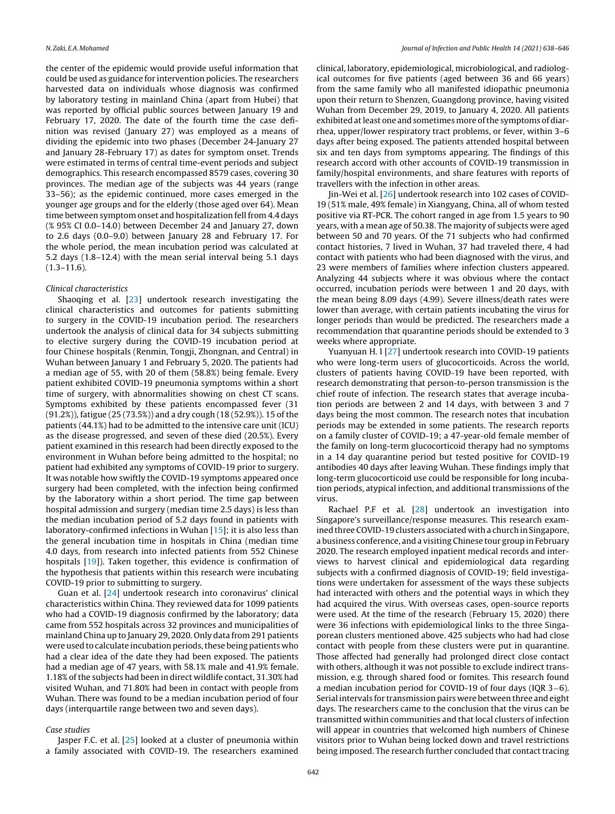the center of the epidemic would provide useful information that could be used as guidance for intervention policies. The researchers harvested data on individuals whose diagnosis was confirmed by laboratory testing in mainland China (apart from Hubei) that was reported by official public sources between January 19 and February 17, 2020. The date of the fourth time the case definition was revised (January 27) was employed as a means of dividing the epidemic into two phases (December 24-January 27 and January 28-February 17) as dates for symptom onset. Trends were estimated in terms of central time-event periods and subject demographics. This research encompassed 8579 cases, covering 30 provinces. The median age of the subjects was 44 years (range 33–56); as the epidemic continued, more cases emerged in the younger age groups and for the elderly (those aged over 64). Mean time between symptom onset and hospitalization fell from 4.4 days (% 95% CI 0.0–14.0) between December 24 and January 27, down to 2.6 days (0.0–9.0) between January 28 and February 17. For the whole period, the mean incubation period was calculated at 5.2 days (1.8–12.4) with the mean serial interval being 5.1 days  $(1.3-11.6)$ .

#### *Clinical characteristics*

Shaoqing et al. [[23\]](#page-8-0) undertook research investigating the clinical characteristics and outcomes for patients submitting to surgery in the COVID-19 incubation period. The researchers undertook the analysis of clinical data for 34 subjects submitting to elective surgery during the COVID-19 incubation period at four Chinese hospitals (Renmin, Tongji, Zhongnan, and Central) in Wuhan between January 1 and February 5, 2020. The patients had a median age of 55, with 20 of them (58.8%) being female. Every patient exhibited COVID-19 pneumonia symptoms within a short time of surgery, with abnormalities showing on chest CT scans. Symptoms exhibited by these patients encompassed fever (31 (91.2%)), fatigue (25 (73.5%)) and a dry cough (18 (52.9%)). 15 of the patients (44.1%) had to be admitted to the intensive care unit (ICU) as the disease progressed, and seven of these died (20.5%). Every patient examined in this research had been directly exposed to the environment in Wuhan before being admitted to the hospital; no patient had exhibited any symptoms of COVID-19 prior to surgery. It was notable how swiftly the COVID-19 symptoms appeared once surgery had been completed, with the infection being confirmed by the laboratory within a short period. The time gap between hospital admission and surgery (median time 2.5 days) is less than the median incubation period of 5.2 days found in patients with laboratory-confirmed infections in Wuhan [[15\];](#page-8-0) it is also less than the general incubation time in hospitals in China (median time 4.0 days, from research into infected patients from 552 Chinese hospitals [\[19\]\)](#page-8-0). Taken together, this evidence is confirmation of the hypothesis that patients within this research were incubating COVID-19 prior to submitting to surgery.

Guan et al. [\[24\]](#page-8-0) undertook research into coronavirus' clinical characteristics within China. They reviewed data for 1099 patients who had a COVID-19 diagnosis confirmed by the laboratory; data came from 552 hospitals across 32 provinces and municipalities of mainland China up to January 29, 2020. Only data from 291 patients were used to calculate incubation periods, these being patients who had a clear idea of the date they had been exposed. The patients had a median age of 47 years, with 58.1% male and 41.9% female. 1.18% of the subjects had been in direct wildlife contact, 31.30% had visited Wuhan, and 71.80% had been in contact with people from Wuhan. There was found to be a median incubation period of four days (interquartile range between two and seven days).

#### *Case studies*

Jasper F.C. et al. [\[25\]](#page-8-0) looked at a cluster of pneumonia within a family associated with COVID-19. The researchers examined

clinical, laboratory, epidemiological, microbiological, and radiological outcomes for five patients (aged between 36 and 66 years) from the same family who all manifested idiopathic pneumonia upon their return to Shenzen, Guangdong province, having visited Wuhan from December 29, 2019, to January 4, 2020. All patients exhibited at least one and sometimes more of the symptoms of diarrhea, upper/lower respiratory tract problems, or fever, within 3–6 days after being exposed. The patients attended hospital between six and ten days from symptoms appearing. The findings of this research accord with other accounts of COVID-19 transmission in family/hospital environments, and share features with reports of travellers with the infection in other areas.

Jin-Wei et al. [\[26\]](#page-8-0) undertook research into 102 cases of COVID-19 (51% male, 49% female) in Xiangyang, China, all of whom tested positive via RT-PCR. The cohort ranged in age from 1.5 years to 90 years, with a mean age of 50.38. The majority of subjects were aged between 50 and 70 years. Of the 71 subjects who had confirmed contact histories, 7 lived in Wuhan, 37 had traveled there, 4 had contact with patients who had been diagnosed with the virus, and 23 were members of families where infection clusters appeared. Analyzing 44 subjects where it was obvious where the contact occurred, incubation periods were between 1 and 20 days, with the mean being 8.09 days (4.99). Severe illness/death rates were lower than average, with certain patients incubating the virus for longer periods than would be predicted. The researchers made a recommendation that quarantine periods should be extended to 3 weeks where appropriate.

Yuanyuan H. l [\[27\]](#page-8-0) undertook research into COVID-19 patients who were long-term users of glucocorticoids. Across the world, clusters of patients having COVID-19 have been reported, with research demonstrating that person-to-person transmission is the chief route of infection. The research states that average incubation periods are between 2 and 14 days, with between 3 and 7 days being the most common. The research notes that incubation periods may be extended in some patients. The research reports on a family cluster of COVID-19; a 47-year-old female member of the family on long-term glucocorticoid therapy had no symptoms in a 14 day quarantine period but tested positive for COVID-19 antibodies 40 days after leaving Wuhan. These findings imply that long-term glucocorticoid use could be responsible for long incubation periods, atypical infection, and additional transmissions of the virus.

Rachael P.F et al. [[28\]](#page-8-0) undertook an investigation into Singapore's surveillance/response measures. This research examined three COVID-19 clusters associated with a church in Singapore, a business conference, and a visiting Chinese tour group in February 2020. The research employed inpatient medical records and interviews to harvest clinical and epidemiological data regarding subjects with a confirmed diagnosis of COVID-19; field investigations were undertaken for assessment of the ways these subjects had interacted with others and the potential ways in which they had acquired the virus. With overseas cases, open-source reports were used. At the time of the research (February 15, 2020) there were 36 infections with epidemiological links to the three Singaporean clusters mentioned above. 425 subjects who had had close contact with people from these clusters were put in quarantine. Those affected had generally had prolonged direct close contact with others, although it was not possible to exclude indirect transmission, e.g. through shared food or fomites. This research found a median incubation period for COVID-19 of four days (IQR 3−6). Serial intervals for transmission pairs were between three and eight days. The researchers came to the conclusion that the virus can be transmitted within communities and that local clusters of infection will appear in countries that welcomed high numbers of Chinese visitors prior to Wuhan being locked down and travel restrictions being imposed. The research further concluded that contact tracing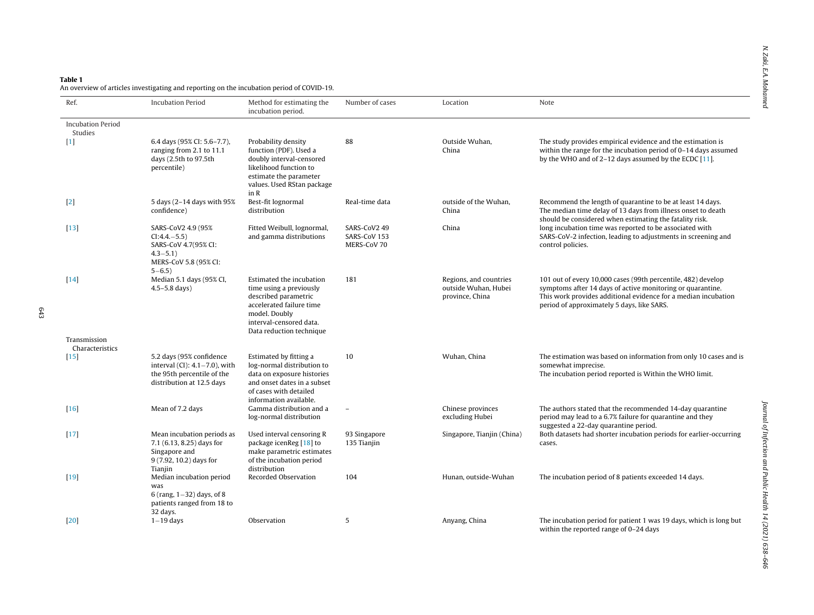### <span id="page-5-0"></span>Table 1

An overview of articles investigating and reporting on the incubation period of COVID-19.

| Ref.                                | <b>Incubation Period</b>                                                                                                  | Method for estimating the<br>incubation period.                                                                                                                                 | Number of cases                             | Location                                                          | Note                                                                                                                                                                                                                                       |
|-------------------------------------|---------------------------------------------------------------------------------------------------------------------------|---------------------------------------------------------------------------------------------------------------------------------------------------------------------------------|---------------------------------------------|-------------------------------------------------------------------|--------------------------------------------------------------------------------------------------------------------------------------------------------------------------------------------------------------------------------------------|
| <b>Incubation Period</b><br>Studies |                                                                                                                           |                                                                                                                                                                                 |                                             |                                                                   |                                                                                                                                                                                                                                            |
| $\lceil 1 \rceil$                   | 6.4 days (95% CI: 5.6-7.7),<br>ranging from 2.1 to 11.1<br>days (2.5th to 97.5th<br>percentile)                           | Probability density<br>function (PDF). Used a<br>doubly interval-censored<br>likelihood function to<br>estimate the parameter<br>values. Used RStan package<br>in R             | 88                                          | Outside Wuhan.<br>China                                           | The study provides empirical evidence and the estimation is<br>within the range for the incubation period of 0-14 days assumed<br>by the WHO and of $2-12$ days assumed by the ECDC [11].                                                  |
| $[2]$                               | 5 days (2-14 days with 95%<br>confidence)                                                                                 | Best-fit lognormal<br>distribution                                                                                                                                              | Real-time data                              | outside of the Wuhan,<br>China                                    | Recommend the length of quarantine to be at least 14 days.<br>The median time delay of 13 days from illness onset to death<br>should be considered when estimating the fatality risk.                                                      |
| $[13]$                              | SARS-CoV2 4.9 (95%<br>$CI: 4.4 - 5.5)$<br>SARS-CoV 4.7(95% CI:<br>$4.3 - 5.1$<br>MERS-CoV 5.8 (95% CI:<br>$5 - 6.5$       | Fitted Weibull, lognormal,<br>and gamma distributions                                                                                                                           | SARS-CoV2 49<br>SARS-CoV 153<br>MERS-CoV 70 | China                                                             | long incubation time was reported to be associated with<br>SARS-CoV-2 infection, leading to adjustments in screening and<br>control policies.                                                                                              |
| $[14]$                              | Median 5.1 days (95% CI,<br>$4.5 - 5.8$ days)                                                                             | Estimated the incubation<br>time using a previously<br>described parametric<br>accelerated failure time<br>model. Doubly<br>interval-censored data.<br>Data reduction technique | 181                                         | Regions, and countries<br>outside Wuhan, Hubei<br>province, China | 101 out of every 10,000 cases (99th percentile, 482) develop<br>symptoms after 14 days of active monitoring or quarantine.<br>This work provides additional evidence for a median incubation<br>period of approximately 5 days, like SARS. |
| Transmission<br>Characteristics     |                                                                                                                           |                                                                                                                                                                                 |                                             |                                                                   |                                                                                                                                                                                                                                            |
| [15]                                | 5.2 days (95% confidence<br>interval (CI): $4.1 - 7.0$ ), with<br>the 95th percentile of the<br>distribution at 12.5 days | Estimated by fitting a<br>log-normal distribution to<br>data on exposure histories<br>and onset dates in a subset<br>of cases with detailed<br>information available.           | 10                                          | Wuhan, China                                                      | The estimation was based on information from only 10 cases and is<br>somewhat imprecise.<br>The incubation period reported is Within the WHO limit.                                                                                        |
| [16]                                | Mean of 7.2 days                                                                                                          | Gamma distribution and a<br>log-normal distribution                                                                                                                             |                                             | Chinese provinces<br>excluding Hubei                              | The authors stated that the recommended 14-day quarantine<br>period may lead to a 6.7% failure for quarantine and they<br>suggested a 22-day quarantine period.                                                                            |
| $[17]$                              | Mean incubation periods as<br>7.1 (6.13, 8.25) days for<br>Singapore and<br>$9(7.92, 10.2)$ days for<br>Tianjin           | Used interval censoring R<br>package icenReg [18] to<br>make parametric estimates<br>of the incubation period<br>distribution                                                   | 93 Singapore<br>135 Tianjin                 | Singapore, Tianjin (China)                                        | Both datasets had shorter incubation periods for earlier-occurring<br>cases.                                                                                                                                                               |
| $[19]$                              | Median incubation period<br>was<br>6 (rang, $1 - 32$ ) days, of 8<br>patients ranged from 18 to<br>32 days.               | Recorded Observation                                                                                                                                                            | 104                                         | Hunan, outside-Wuhan                                              | The incubation period of 8 patients exceeded 14 days.                                                                                                                                                                                      |
| $[20]$                              | $1-19$ days                                                                                                               | Observation                                                                                                                                                                     | 5                                           | Anyang, China                                                     | The incubation period for patient 1 was 19 days, which is long but<br>within the reported range of 0-24 days                                                                                                                               |

643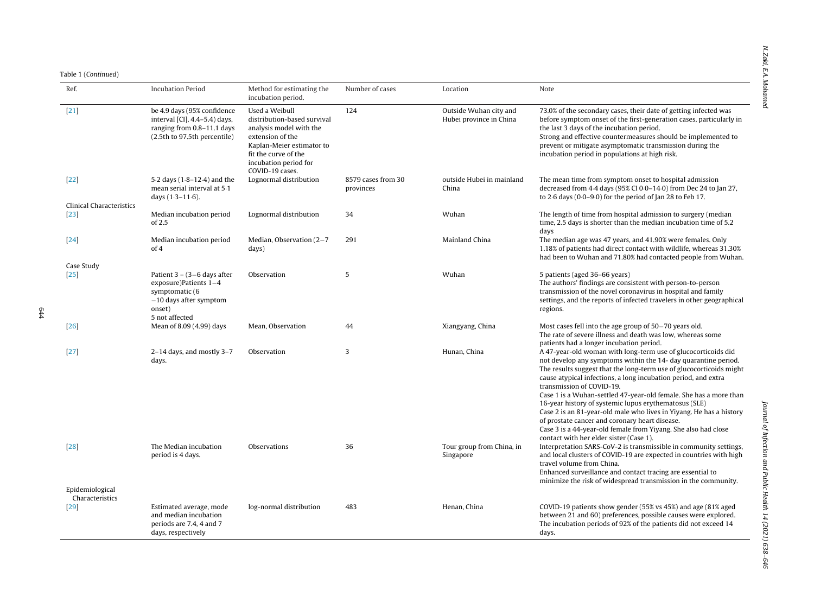| Ref.                                      | <b>Incubation Period</b>                                                                                                               | Method for estimating the<br>incubation period.                                                                                                                                               | Number of cases                 | Location                                          | Note                                                                                                                                                                                                                                                                                                                                                                                                                                                                                                                                                                                                                                                                      |
|-------------------------------------------|----------------------------------------------------------------------------------------------------------------------------------------|-----------------------------------------------------------------------------------------------------------------------------------------------------------------------------------------------|---------------------------------|---------------------------------------------------|---------------------------------------------------------------------------------------------------------------------------------------------------------------------------------------------------------------------------------------------------------------------------------------------------------------------------------------------------------------------------------------------------------------------------------------------------------------------------------------------------------------------------------------------------------------------------------------------------------------------------------------------------------------------------|
| $[21]$                                    | be 4.9 days (95% confidence<br>interval [CI], 4.4-5.4) days,<br>ranging from 0.8-11.1 days<br>(2.5th to 97.5th percentile)             | Used a Weibull<br>distribution-based survival<br>analysis model with the<br>extension of the<br>Kaplan-Meier estimator to<br>fit the curve of the<br>incubation period for<br>COVID-19 cases. | 124                             | Outside Wuhan city and<br>Hubei province in China | 73.0% of the secondary cases, their date of getting infected was<br>before symptom onset of the first-generation cases, particularly in<br>the last 3 days of the incubation period.<br>Strong and effective countermeasures should be implemented to<br>prevent or mitigate asymptomatic transmission during the<br>incubation period in populations at high risk.                                                                                                                                                                                                                                                                                                       |
| $[22]$                                    | 5.2 days (1.8–12.4) and the<br>mean serial interval at 5.1<br>days $(1.3 - 11.6)$ .                                                    | Lognormal distribution                                                                                                                                                                        | 8579 cases from 30<br>provinces | outside Hubei in mainland<br>China                | The mean time from symptom onset to hospital admission<br>decreased from 4.4 days (95% CI 0.0-14.0) from Dec 24 to Jan 27,<br>to $2.6$ days $(0.0-9.0)$ for the period of Jan 28 to Feb 17.                                                                                                                                                                                                                                                                                                                                                                                                                                                                               |
| <b>Clinical Characteristics</b><br>$[23]$ | Median incubation period<br>of 2.5                                                                                                     | Lognormal distribution                                                                                                                                                                        | 34                              | Wuhan                                             | The length of time from hospital admission to surgery (median<br>time, 2.5 days is shorter than the median incubation time of 5.2                                                                                                                                                                                                                                                                                                                                                                                                                                                                                                                                         |
| $[24]$                                    | Median incubation period<br>of 4                                                                                                       | Median, Observation (2-7<br>days)                                                                                                                                                             | 291                             | Mainland China                                    | days<br>The median age was 47 years, and 41.90% were females. Only<br>1.18% of patients had direct contact with wildlife, whereas 31.30%<br>had been to Wuhan and 71.80% had contacted people from Wuhan.                                                                                                                                                                                                                                                                                                                                                                                                                                                                 |
| Case Study<br>[25]                        | Patient $3 - (3 - 6)$ days after<br>exposure) Patients $1-4$<br>symptomatic (6<br>$-10$ days after symptom<br>onset)<br>5 not affected | Observation                                                                                                                                                                                   | 5                               | Wuhan                                             | 5 patients (aged 36-66 years)<br>The authors' findings are consistent with person-to-person<br>transmission of the novel coronavirus in hospital and family<br>settings, and the reports of infected travelers in other geographical<br>regions.                                                                                                                                                                                                                                                                                                                                                                                                                          |
| [26]                                      | Mean of 8.09 (4.99) days                                                                                                               | Mean, Observation                                                                                                                                                                             | 44                              | Xiangyang, China                                  | Most cases fell into the age group of 50-70 years old.<br>The rate of severe illness and death was low, whereas some<br>patients had a longer incubation period.                                                                                                                                                                                                                                                                                                                                                                                                                                                                                                          |
| $[27]$                                    | $2-14$ days, and mostly $3-7$<br>days.                                                                                                 | Observation                                                                                                                                                                                   | 3                               | Hunan, China                                      | A 47-year-old woman with long-term use of glucocorticoids did<br>not develop any symptoms within the 14- day quarantine period.<br>The results suggest that the long-term use of glucocorticoids might<br>cause atypical infections, a long incubation period, and extra<br>transmission of COVID-19.<br>Case 1 is a Wuhan-settled 47-year-old female. She has a more than<br>16-year history of systemic lupus erythematosus (SLE)<br>Case 2 is an 81-year-old male who lives in Yiyang. He has a history<br>of prostate cancer and coronary heart disease.<br>Case 3 is a 44-year-old female from Yiyang. She also had close<br>contact with her elder sister (Case 1). |
| $[28]$<br>Epidemiological                 | The Median incubation<br>period is 4 days.                                                                                             | Observations                                                                                                                                                                                  | 36                              | Tour group from China, in<br>Singapore            | Interpretation SARS-CoV-2 is transmissible in community settings,<br>and local clusters of COVID-19 are expected in countries with high<br>travel volume from China.<br>Enhanced surveillance and contact tracing are essential to<br>minimize the risk of widespread transmission in the community.                                                                                                                                                                                                                                                                                                                                                                      |
| Characteristics<br>[29]                   | Estimated average, mode<br>and median incubation<br>periods are 7.4, 4 and 7<br>days, respectively                                     | log-normal distribution                                                                                                                                                                       | 483                             | Henan, China                                      | COVID-19 patients show gender (55% vs 45%) and age (81% aged<br>between 21 and 60) preferences, possible causes were explored.<br>The incubation periods of 92% of the patients did not exceed 14<br>days.                                                                                                                                                                                                                                                                                                                                                                                                                                                                |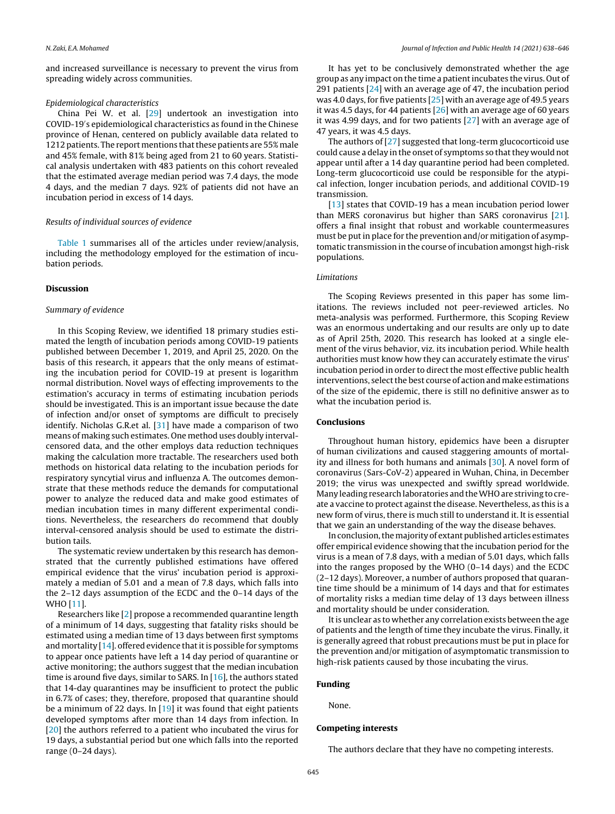and increased surveillance is necessary to prevent the virus from spreading widely across communities.

#### *Epidemiological characteristics*

China Pei W. et al. [[29\]](#page-8-0) undertook an investigation into COVID-19′ s epidemiological characteristics as found in the Chinese province of Henan, centered on publicly available data related to 1212 patients. The report mentions that these patients are 55% male and 45% female, with 81% being aged from 21 to 60 years. Statistical analysis undertaken with 483 patients on this cohort revealed that the estimated average median period was 7.4 days, the mode 4 days, and the median 7 days. 92% of patients did not have an incubation period in excess of 14 days.

#### *Results of individual sources of evidence*

[Table](#page-5-0) 1 summarises all of the articles under review/analysis, including the methodology employed for the estimation of incubation periods.

#### Discussion

#### *Summary of evidence*

In this Scoping Review, we identified 18 primary studies estimated the length of incubation periods among COVID-19 patients published between December 1, 2019, and April 25, 2020. On the basis of this research, it appears that the only means of estimating the incubation period for COVID-19 at present is logarithm normal distribution. Novel ways of effecting improvements to the estimation's accuracy in terms of estimating incubation periods should be investigated. This is an important issue because the date of infection and/or onset of symptoms are difficult to precisely identify. Nicholas G.R.et al. [\[31\]](#page-8-0) have made a comparison of two means of making such estimates. One method uses doubly intervalcensored data, and the other employs data reduction techniques making the calculation more tractable. The researchers used both methods on historical data relating to the incubation periods for respiratory syncytial virus and influenza A. The outcomes demonstrate that these methods reduce the demands for computational power to analyze the reduced data and make good estimates of median incubation times in many different experimental conditions. Nevertheless, the researchers do recommend that doubly interval-censored analysis should be used to estimate the distribution tails.

The systematic review undertaken by this research has demonstrated that the currently published estimations have offered empirical evidence that the virus' incubation period is approximately a median of 5.01 and a mean of 7.8 days, which falls into the 2–12 days assumption of the ECDC and the 0–14 days of the WHO [[11\].](#page-8-0)

Researchers like [\[2\]](#page-8-0) propose a recommended quarantine length of a minimum of 14 days, suggesting that fatality risks should be estimated using a median time of 13 days between first symptoms and mortality  $[14]$ . offered evidence that it is possible for symptoms to appear once patients have left a 14 day period of quarantine or active monitoring; the authors suggest that the median incubation time is around five days, similar to SARS. In  $[16]$ , the authors stated that 14-day quarantines may be insufficient to protect the public in 6.7% of cases; they, therefore, proposed that quarantine should be a minimum of 22 days. In [[19\]](#page-8-0) it was found that eight patients developed symptoms after more than 14 days from infection. In [\[20\]](#page-8-0) the authors referred to a patient who incubated the virus for 19 days, a substantial period but one which falls into the reported range (0–24 days).

It has yet to be conclusively demonstrated whether the age group as any impact on the time a patient incubates the virus. Out of 291 patients [\[24\]](#page-8-0) with an average age of 47, the incubation period was 4.0 days, for five patients [[25\]](#page-8-0) with an average age of 49.5 years it was 4.5 days, for 44 patients  $[26]$  $[26]$  with an average age of 60 years it was 4.99 days, and for two patients [\[27\]](#page-8-0) with an average age of 47 years, it was 4.5 days.

The authors of [\[27\]](#page-8-0) suggested that long-term glucocorticoid use could cause a delay in the onset of symptoms so that they would not appear until after a 14 day quarantine period had been completed. Long-term glucocorticoid use could be responsible for the atypical infection, longer incubation periods, and additional COVID-19 transmission.

[[13\]](#page-8-0) states that COVID-19 has a mean incubation period lower than MERS coronavirus but higher than SARS coronavirus [[21\].](#page-8-0) offers a final insight that robust and workable countermeasures must be putin place for the prevention and/or mitigation of asymptomatic transmission in the course of incubation amongst high-risk populations.

#### *Limitations*

The Scoping Reviews presented in this paper has some limitations. The reviews included not peer-reviewed articles. No meta-analysis was performed. Furthermore, this Scoping Review was an enormous undertaking and our results are only up to date as of April 25th, 2020. This research has looked at a single element of the virus behavior, viz. its incubation period. While health authorities must know how they can accurately estimate the virus' incubation period in order to direct the most effective public health interventions, select the best course of action and make estimations of the size of the epidemic, there is still no definitive answer as to what the incubation period is.

#### Conclusions

Throughout human history, epidemics have been a disrupter of human civilizations and caused staggering amounts of mortality and illness for both humans and animals [\[30\].](#page-8-0) A novel form of coronavirus (Sars-CoV-2) appeared in Wuhan, China, in December 2019; the virus was unexpected and swiftly spread worldwide. Many leading research laboratories and the WHO are striving to create a vaccine to protect against the disease. Nevertheless, as this is a new form of virus, there is much still to understand it. It is essential that we gain an understanding of the way the disease behaves.

In conclusion, the majority of extant published articles estimates offer empirical evidence showing that the incubation period for the virus is a mean of 7.8 days, with a median of 5.01 days, which falls into the ranges proposed by the WHO (0–14 days) and the ECDC (2–12 days). Moreover, a number of authors proposed that quarantine time should be a minimum of 14 days and that for estimates of mortality risks a median time delay of 13 days between illness and mortality should be under consideration.

It is unclear as to whether any correlation exists between the age of patients and the length of time they incubate the virus. Finally, it is generally agreed that robust precautions must be put in place for the prevention and/or mitigation of asymptomatic transmission to high-risk patients caused by those incubating the virus.

#### Funding

None.

#### Competing interests

The authors declare that they have no competing interests.